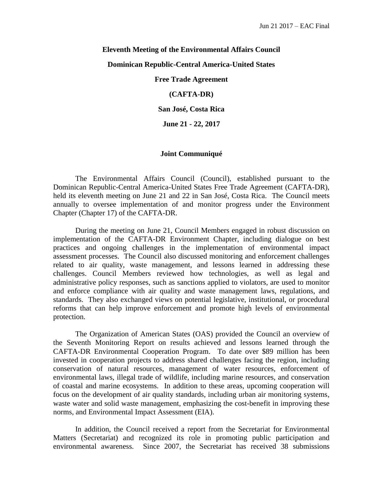## **Eleventh Meeting of the Environmental Affairs Council**

## **Dominican Republic-Central America-United States**

**Free Trade Agreement**

**(CAFTA-DR)**

**San José, Costa Rica**

**June 21 - 22, 2017**

## **Joint Communiqué**

The Environmental Affairs Council (Council), established pursuant to the Dominican Republic-Central America-United States Free Trade Agreement (CAFTA-DR), held its eleventh meeting on June 21 and 22 in San José, Costa Rica. The Council meets annually to oversee implementation of and monitor progress under the Environment Chapter (Chapter 17) of the CAFTA-DR.

During the meeting on June 21, Council Members engaged in robust discussion on implementation of the CAFTA-DR Environment Chapter, including dialogue on best practices and ongoing challenges in the implementation of environmental impact assessment processes. The Council also discussed monitoring and enforcement challenges related to air quality, waste management, and lessons learned in addressing these challenges. Council Members reviewed how technologies, as well as legal and administrative policy responses, such as sanctions applied to violators, are used to monitor and enforce compliance with air quality and waste management laws, regulations, and standards. They also exchanged views on potential legislative, institutional, or procedural reforms that can help improve enforcement and promote high levels of environmental protection.

The Organization of American States (OAS) provided the Council an overview of the Seventh Monitoring Report on results achieved and lessons learned through the CAFTA-DR Environmental Cooperation Program. To date over \$89 million has been invested in cooperation projects to address shared challenges facing the region, including conservation of natural resources, management of water resources, enforcement of environmental laws, illegal trade of wildlife, including marine resources, and conservation of coastal and marine ecosystems. In addition to these areas, upcoming cooperation will focus on the development of air quality standards, including urban air monitoring systems, waste water and solid waste management, emphasizing the cost-benefit in improving these norms, and Environmental Impact Assessment (EIA).

In addition, the Council received a report from the Secretariat for Environmental Matters (Secretariat) and recognized its role in promoting public participation and environmental awareness. Since 2007, the Secretariat has received 38 submissions